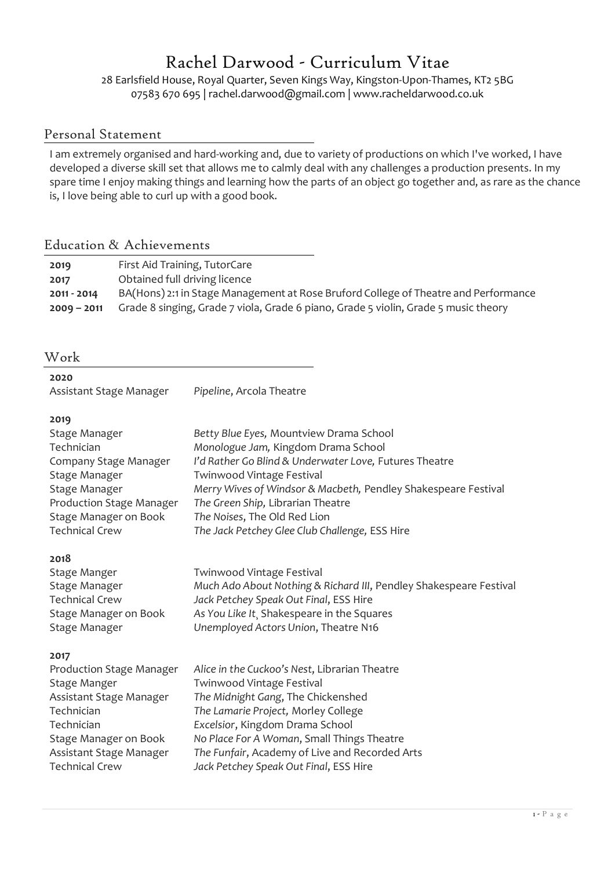# Rachel Darwood - Curriculum Vitae

28 Earlsfield House, Royal Quarter, Seven Kings Way, Kingston-Upon-Thames, KT2 5BG 07583 670 695 | rachel.darwood@gmail.com | www.racheldarwood.co.uk

### Personal Statement

I am extremely organised and hard-working and, due to variety of productions on which I've worked, I have developed a diverse skill set that allows me to calmly deal with any challenges a production presents. In my spare time I enjoy making things and learning how the parts of an object go together and, as rare as the chance is, I love being able to curl up with a good book.

### Education & Achievements

| 2019          | First Aid Training, TutorCare                                                       |
|---------------|-------------------------------------------------------------------------------------|
| 2017          | Obtained full driving licence                                                       |
| 2011 - 2014   | BA(Hons) 2:1 in Stage Management at Rose Bruford College of Theatre and Performance |
| $2009 - 2011$ | Grade 8 singing, Grade 7 viola, Grade 6 piano, Grade 5 violin, Grade 5 music theory |

### Work

| ×<br>۰.<br>×<br>۰. |
|--------------------|
|--------------------|

|                         | Pipeline, Arcola Theatre |
|-------------------------|--------------------------|
| Assistant Stage Manager |                          |

### **2019**

| Stage Manager            | Betty Blue Eyes, Mountview Drama School                        |
|--------------------------|----------------------------------------------------------------|
| Technician               | Monologue Jam, Kingdom Drama School                            |
| Company Stage Manager    | I'd Rather Go Blind & Underwater Love, Futures Theatre         |
| Stage Manager            | Twinwood Vintage Festival                                      |
| Stage Manager            | Merry Wives of Windsor & Macbeth, Pendley Shakespeare Festival |
| Production Stage Manager | The Green Ship, Librarian Theatre                              |
| Stage Manager on Book    | The Noises, The Old Red Lion                                   |
| <b>Technical Crew</b>    | The Jack Petchey Glee Club Challenge, ESS Hire                 |

### **2018**

| Stage Manger          | Twinwood Vintage Festival                                          |
|-----------------------|--------------------------------------------------------------------|
| Stage Manager         | Much Ado About Nothing & Richard III, Pendley Shakespeare Festival |
| <b>Technical Crew</b> | Jack Petchey Speak Out Final, ESS Hire                             |
| Stage Manager on Book | As You Like It, Shakespeare in the Squares                         |
| Stage Manager         | Unemployed Actors Union, Theatre N16                               |

### **2017**

| Production Stage Manager | Alice in the Cuckoo's Nest, Librarian Theatre  |
|--------------------------|------------------------------------------------|
| Stage Manger             | Twinwood Vintage Festival                      |
| Assistant Stage Manager  | The Midnight Gang, The Chickenshed             |
| Technician               | The Lamarie Project, Morley College            |
| Technician               | Excelsior, Kingdom Drama School                |
| Stage Manager on Book    | No Place For A Woman, Small Things Theatre     |
| Assistant Stage Manager  | The Funfair, Academy of Live and Recorded Arts |
| <b>Technical Crew</b>    | Jack Petchey Speak Out Final, ESS Hire         |